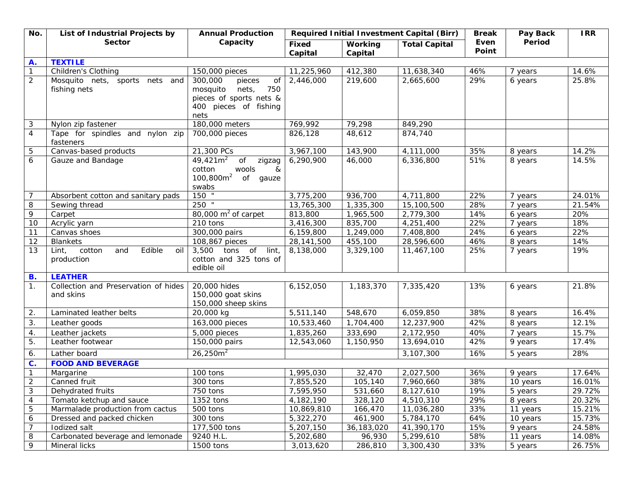| No.                         | List of Industrial Projects by                        | <b>Annual Production</b><br>Capacity                                                                            | Required Initial Investment Capital (Birr) |                           |                            | <b>Break</b>  | Pay Back | <b>IRR</b> |
|-----------------------------|-------------------------------------------------------|-----------------------------------------------------------------------------------------------------------------|--------------------------------------------|---------------------------|----------------------------|---------------|----------|------------|
|                             | <b>Sector</b>                                         |                                                                                                                 | Fixed<br>Capital                           | <b>Working</b><br>Capital | <b>Total Capital</b>       | Even<br>Point | Period   |            |
| A.                          | <b>TEXTILE</b>                                        |                                                                                                                 |                                            |                           |                            |               |          |            |
| $\boldsymbol{\mathcal{I}}$  | <b>Children's Clothing</b>                            | 150,000 pieces                                                                                                  | 11,225,960                                 | 412,380                   | 11,638,340                 | 46%           | 7 years  | 14.6%      |
| $\overline{2}$              | Mosquito nets, sports nets and<br>fishing nets        | 300,000<br>pieces<br>Οf<br>mosquito<br>nets,<br>750<br>pieces of sports nets &<br>400 pieces of fishing<br>nets | 2,446,000                                  | 219,600                   | 2,665,600                  | 29%           | 6 years  | 25.8%      |
| 3                           | Nylon zip fastener                                    | 180,000 meters                                                                                                  | 769,992                                    | 79,298                    | 849,290                    |               |          |            |
| $\overline{4}$              | Tape for spindles and nylon zip<br>fasteners          | 700,000 pieces                                                                                                  | 826,128                                    | 48,612                    | 874,740                    |               |          |            |
| 5                           | Canvas-based products                                 | 21,300 PCs                                                                                                      | 3,967,100                                  | 143,900                   | 4,111,000                  | 35%           | 8 years  | 14.2%      |
| 6                           | Gauze and Bandage                                     | $49,421m^2$<br>$\mathop{\mathit{of}}$<br>zigzag<br>cotton<br>wools<br>&<br>$100,800m^2$<br>of gauze<br>swabs    | 6,290,900                                  | 46,000                    | 6,336,800                  | 51%           | 8 years  | 14.5%      |
| 7                           | Absorbent cotton and sanitary pads                    | $150$ $^{-1}$                                                                                                   | 3,775,200                                  | 936,700                   | 4,711,800                  | 22%           | 7 years  | 24.01%     |
| 8                           | Sewing thread                                         | $250$ "                                                                                                         | 13,765,300                                 | 1,335,300                 | 15, 100, 500               | 28%           | 7 years  | 21.54%     |
| $\overline{9}$              | Carpet                                                | $\overline{80}$ ,000 m <sup>2</sup> of carpet                                                                   | 813,800                                    | 1,965,500                 | 2,779,300                  | 14%           | 6 years  | 20%        |
| 10                          | Acrylic yarn                                          | 210 tons                                                                                                        | 3,416,300                                  | 835,700                   | 4,251,400                  | 22%           | 7 years  | 18%        |
| 11                          | Canvas shoes                                          | 300,000 pairs                                                                                                   | 6,159,800                                  | 1,249,000                 | 7,408,800                  | 24%           | 6 years  | 22%        |
| 12                          | <b>Blankets</b>                                       | 108,867 pieces                                                                                                  | 28, 141, 500                               | 455,100                   | 28,596,600                 | 46%           | 8 years  | 14%        |
| 13                          | Edible<br>Lint,<br>cotton<br>and<br>oil<br>production | $\mathsf{lint}_i$<br>3,500<br>tons of<br>cotton and 325 tons of<br>edible oil                                   | 8,138,000                                  | 3,329,100                 | 11,467,100                 | 25%           | 7 years  | 19%        |
| В.                          | <b>LEATHER</b>                                        |                                                                                                                 |                                            |                           |                            |               |          |            |
| $\mathcal{I}$ .             | Collection and Preservation of hides<br>and skins     | 20,000 hides<br>150,000 goat skins<br>150,000 sheep skins                                                       | 6,152,050                                  | 1,183,370                 | 7,335,420                  | 13%           | 6 years  | 21.8%      |
| 2.                          | Laminated leather belts                               | 20,000 kg                                                                                                       | 5,511,140                                  | 548,670                   | 6,059,850                  | 38%           | 8 years  | 16.4%      |
| 3.                          | Leather goods                                         | 163,000 pieces                                                                                                  | 10,533,460                                 | 1,704,400                 | 12,237,900                 | 42%           | 8 years  | 12.1%      |
| 4.                          | Leather jackets                                       | 5,000 pieces                                                                                                    | $\overline{1,835,260}$                     | 333,690                   | 2, 172, 950                | 40%           | 7 years  | 15.7%      |
| 5.                          | Leather footwear                                      | 150,000 pairs                                                                                                   | 12,543,060                                 | 1,150,950                 | 13,694,010                 | 42%           | 9 years  | 17.4%      |
| 6.                          | Lather board                                          | $26,250m^2$                                                                                                     |                                            |                           | 3,107,300                  | 16%           | 5 years  | 28%        |
| $\overline{c}$ .            | <b>FOOD AND BEVERAGE</b>                              |                                                                                                                 |                                            |                           |                            |               |          |            |
| $\boldsymbol{\tau}$         | Margarine                                             | 100 tons                                                                                                        | 1,995,030                                  | 32,470                    | 2,027,500                  | 36%           | 9 years  | 17.64%     |
| $\overline{2}$              | Canned fruit                                          | 300 tons                                                                                                        | 7,855,520                                  | 105,140                   | 7,960,660                  | 38%           | 10 years | 16.01%     |
| $\mathcal{S}_{\mathcal{S}}$ | Dehydrated fruits                                     | 750 tons                                                                                                        | 7,595,950                                  | 531,660                   | 8,127,610                  | 19%           | 5 years  | 29.72%     |
| $\overline{4}$              | Tomato ketchup and sauce                              | 1352 tons                                                                                                       | 4, 182, 190                                | 328,120                   | 4,510,310                  | 29%           | 8 years  | 20.32%     |
| $\sqrt{5}$                  | Marmalade production from cactus                      | 500 tons                                                                                                        | 10,869,810                                 | 166,470                   | 11,036,280                 | 33%           | 11 years | 15.21%     |
| 6                           | Dressed and packed chicken                            | 300 tons                                                                                                        | 5,322,270                                  | 461,900                   | 5,784,170                  | 64%           | 10 years | 15.73%     |
| $\overline{7}$              | Iodized salt                                          | 177,500 tons                                                                                                    | 5,207,150                                  | 36, 183, 020              | $\overline{41}$ , 390, 170 | 15%           | 9 years  | 24.58%     |
| $\ensuremath{\mathcal{S}}$  | Carbonated beverage and lemonade                      | 9240 H.L.                                                                                                       | 5,202,680                                  | 96,930                    | 5,299,610                  | 58%           | 11 years | 14.08%     |
| 9                           | Mineral licks                                         | 1500 tons                                                                                                       | 3,013,620                                  | 286,810                   | 3,300,430                  | 33%           | 5 years  | 26.75%     |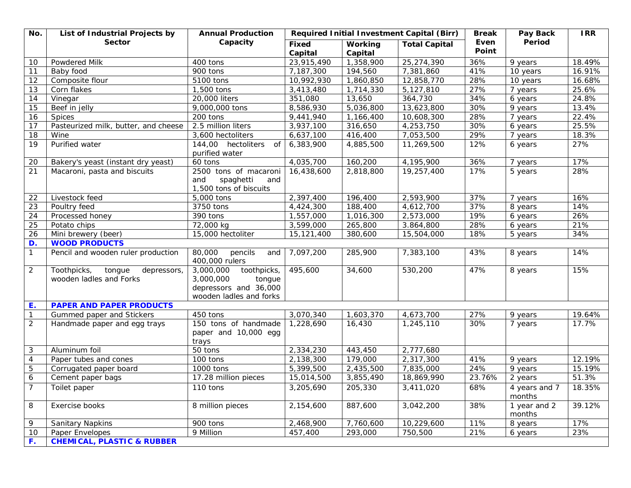| No.                         | List of Industrial Projects by                                  | <b>Annual Production</b>                                                                            | Required Initial Investment Capital (Birr) |                           |                      | <b>Break</b>  | Pay Back                | <b>IRR</b> |
|-----------------------------|-----------------------------------------------------------------|-----------------------------------------------------------------------------------------------------|--------------------------------------------|---------------------------|----------------------|---------------|-------------------------|------------|
|                             | <b>Sector</b>                                                   | Capacity                                                                                            | <b>Fixed</b><br>Capital                    | <b>Working</b><br>Capital | <b>Total Capital</b> | Even<br>Point | Period                  |            |
| 10                          | Powdered Milk                                                   | 400 tons                                                                                            | 23,915,490                                 | 1,358,900                 | 25,274,390           | 36%           | 9 years                 | 18.49%     |
| 11                          | Baby food                                                       | 900 tons                                                                                            | 7,187,300                                  | 194,560                   | 7,381,860            | 41%           | 10 years                | 16.91%     |
| 12                          | Composite flour                                                 | 5100 tons                                                                                           | 10,992,930                                 | 1,860,850                 | 12,858,770           | 28%           | 10 years                | 16.68%     |
| 13                          | Corn flakes                                                     | 1,500 tons                                                                                          | 3,413,480                                  | 1,714,330                 | 5,127,810            | 27%           | 7 years                 | 25.6%      |
| 14                          | Vinegar                                                         | 20,000 liters                                                                                       | 351,080                                    | 13,650                    | 364,730              | 34%           | 6 years                 | 24.8%      |
| 15                          | Beef in jelly                                                   | 9,000,000 tons                                                                                      | 8,586,930                                  | 5,036,800                 | 13,623,800           | 30%           | 9 years                 | 13.4%      |
| 16                          | <b>Spices</b>                                                   | 200 tons                                                                                            | 9,441,940                                  | 1,166,400                 | 10,608,300           | 28%           | 7 years                 | 22.4%      |
| 17                          | Pasteurized milk, butter, and cheese                            | $2.5$ million liters                                                                                | 3,937,100                                  | 316,650                   | 4,253,750            | 30%           | 6 years                 | 25.5%      |
| 18                          | Wine                                                            | 3,600 hectoliters                                                                                   | 6,637,100                                  | 416,400                   | 7,053,500            | 29%           | 7 years                 | 18.3%      |
| 19                          | Purified water                                                  | 144,00 hectoliters<br>Οf<br>purified water                                                          | 6,383,900                                  | 4,885,500                 | 11,269,500           | 12%           | 6 years                 | 27%        |
| 20                          | Bakery's yeast (instant dry yeast)                              | 60 tons                                                                                             | 4,035,700                                  | 160,200                   | 4,195,900            | 36%           | 7 years                 | 17%        |
| 21                          | Macaroni, pasta and biscuits                                    | 2500 tons of macaroni<br>spaghetti<br>and<br>and<br>1,500 tons of biscuits                          | 16,438,600                                 | 2,818,800                 | 19,257,400           | 17%           | 5 years                 | 28%        |
| 22                          | Livestock feed                                                  | 5,000 tons                                                                                          | 2,397,400                                  | 196,400                   | 2,593,900            | 37%           | 7 years                 | 16%        |
| 23                          | Poultry feed                                                    | 3750 tons                                                                                           | 4,424,300                                  | 188,400                   | 4,612,700            | 37%           | 8 years                 | 14%        |
| 24                          | Processed honey                                                 | 390 tons                                                                                            | 1,557,000                                  | 1,016,300                 | 2,573,000            | 19%           | 6 years                 | 26%        |
| 25                          | Potato chips                                                    | 72,000 kg                                                                                           | 3,599,000                                  | 265,800                   | 3.864,800            | 28%           | 6 years                 | 21%        |
| 26                          | Mini brewery (beer)                                             | 15,000 hectoliter                                                                                   | 15, 121, 400                               | 380,600                   | 15,504,000           | 18%           | 5 years                 | 34%        |
| D.                          | <b>WOOD PRODUCTS</b>                                            |                                                                                                     |                                            |                           |                      |               |                         |            |
| $\mathcal{I}$               | Pencil and wooden ruler production                              | 80,000<br>pencils<br>and<br>400,000 rulers                                                          | 7,097,200                                  | 285,900                   | 7,383,100            | 43%           | 8 years                 | 14%        |
| $\overline{2}$              | Toothpicks,<br>tongue<br>depressors,<br>wooden ladles and Forks | toothpicks,<br>3,000,000<br>3,000,000<br>tongue<br>depressors and 36,000<br>wooden ladles and forks | 495,600                                    | 34,600                    | 530,200              | 47%           | 8 years                 | 15%        |
| E.                          | <b>PAPER AND PAPER PRODUCTS</b>                                 |                                                                                                     |                                            |                           |                      |               |                         |            |
| $\mathcal{I}$               | <b>Gummed paper and Stickers</b>                                | 450 tons                                                                                            | 3,070,340                                  | 1,603,370                 | 4,673,700            | 27%           | 9 years                 | 19.64%     |
| $\mathcal{L}_{\mathcal{L}}$ | Handmade paper and egg trays                                    | 150 tons of handmade<br>paper and 10,000 egg<br>trays                                               | 1,228,690                                  | 16,430                    | 1,245,110            | 30%           | 7 years                 | 17.7%      |
| 3                           | Aluminum foil                                                   | 50 tons                                                                                             | 2,334,230                                  | 443,450                   | 2,777,680            |               |                         |            |
| $\boldsymbol{4}$            | Paper tubes and cones                                           | 100 tons                                                                                            | 2,138,300                                  | 179,000                   | 2,317,300            | 41%           | 9 years                 | 12.19%     |
| 5                           | Corrugated paper board                                          | 1000 tons                                                                                           | 5,399,500                                  | 2,435,500                 | 7,835,000            | 24%           | 9 years                 | 15.19%     |
| 6                           | Cement paper bags                                               | 17.28 million pieces                                                                                | 15,014,500                                 | 3,855,490                 | 18,869,990           | 23.76%        | 2 years                 | 51.3%      |
|                             | Toilet paper                                                    | 110 tons                                                                                            | 3,205,690                                  | 205,330                   | 3,411,020            | 68%           | 4 years and 7<br>months | 18.35%     |
| 8                           | Exercise books                                                  | 8 million pieces                                                                                    | 2,154,600                                  | 887,600                   | 3,042,200            | 38%           | 1 year and 2<br>months  | 39.12%     |
| 9                           | Sanitary Napkins                                                | 900 tons                                                                                            | 2,468,900                                  | 7,760,600                 | 10,229,600           | 11%           | 8 years                 | 17%        |
| 10                          | Paper Envelopes                                                 | 9 Million                                                                                           | 457,400                                    | 293,000                   | 750,500              | 21%           | 6 years                 | 23%        |
| F.                          | <b>CHEMICAL, PLASTIC &amp; RUBBER</b>                           |                                                                                                     |                                            |                           |                      |               |                         |            |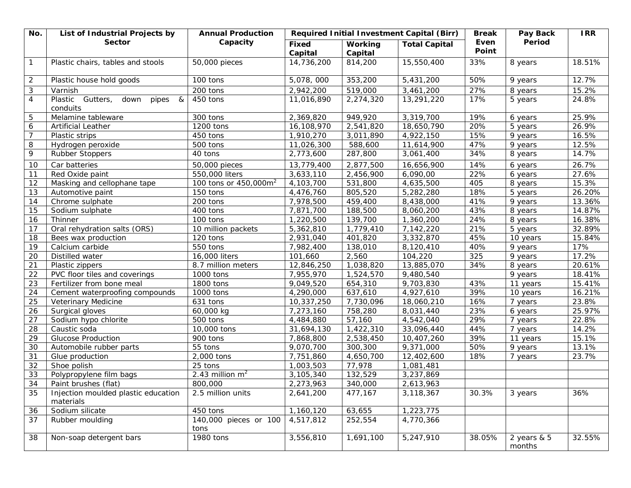| No.            | List of Industrial Projects by                     | <b>Annual Production</b>          | Required Initial Investment Capital (Birr) |                           |                          | <b>Break</b>  | Pay Back                | <b>IRR</b> |
|----------------|----------------------------------------------------|-----------------------------------|--------------------------------------------|---------------------------|--------------------------|---------------|-------------------------|------------|
|                | <b>Sector</b>                                      | Capacity                          | <b>Fixed</b><br>Capital                    | <b>Working</b><br>Capital | <b>Total Capital</b>     | Even<br>Point | Period                  |            |
| $\mathcal{I}$  | Plastic chairs, tables and stools                  | 50,000 pieces                     | 14,736,200                                 | 814,200                   | 15,550,400               | 33%           | 8 years                 | 18.51%     |
| $\mathfrak{2}$ | Plastic house hold goods                           | 100 tons                          | 5,078,000                                  | 353,200                   | 5,431,200                | 50%           | 9 years                 | 12.7%      |
| 3              | Varnish                                            | 200 tons                          | 2,942,200                                  | 519,000                   | 3,461,200                | 27%           | 8 years                 | 15.2%      |
| $\overline{4}$ | Plastic Gutters,<br>down<br>pipes<br>&<br>conduits | 450 tons                          | 11,016,890                                 | 2,274,320                 | 13,291,220               | 17%           | 5 years                 | 24.8%      |
| 5              | Melamine tableware                                 | 300 tons                          | 2,369,820                                  | 949,920                   | 3,319,700                | 19%           | 6 years                 | 25.9%      |
| 6              | Artificial Leather                                 | 1200 tons                         | 16, 108, 970                               | 2,541,820                 | 18,650,790               | 20%           | 5 years                 | 26.9%      |
| $\overline{7}$ | Plastic strips                                     | 450 tons                          | 1,910,270                                  | 3,011,890                 | 4,922,150                | 15%           | 9 years                 | 16.5%      |
| 8              | Hydrogen peroxide                                  | 500 tons                          | 11,026,300                                 | 588,600                   | 11,614,900               | 47%           | 9 years                 | 12.5%      |
| 9              | Rubber Stoppers                                    | 40 tons                           | 2,773,600                                  | 287,800                   | 3,061,400                | 34%           | 8 years                 | 14.7%      |
| 10             | Car batteries                                      | 50,000 pieces                     | 13,779,400                                 | 2,877,500                 | 16,656,900               | 14%           | 6 years                 | 26.7%      |
| 11             | Red Oxide paint                                    | 550,000 liters                    | 3,633,110                                  | 2,456,900                 | 6,090,00                 | 22%           | 6 years                 | 27.6%      |
| 12             | Masking and cellophane tape                        | 100 tons or 450,000m <sup>2</sup> | 4, 103, 700                                | 531,800                   | 4,635,500                | 405           | 8 years                 | 15.3%      |
| 13             | Automotive paint                                   | 150 tons                          | 4,476,760                                  | 805,520                   | 5,282,280                | 18%           | 5 years                 | 26.20%     |
| 14             | Chrome sulphate                                    | 200 tons                          | 7,978,500                                  | 459,400                   | 8,438,000                | 41%           | 9 years                 | 13.36%     |
| 15             | Sodium sulphate                                    | 400 tons                          | 7,871,700                                  | 188,500                   | 8,060,200                | 43%           | 8 years                 | 14.87%     |
| 16             | <b>Thinner</b>                                     | 100 tons                          | 1,220,500                                  | 139,700                   | 1,360,200                | 24%           | 8 years                 | 16.38%     |
| 17             | Oral rehydration salts (ORS)                       | 10 million packets                | 5,362,810                                  | 1,779,410                 | 7,142,220                | 21%           | 5 years                 | 32.89%     |
| 18             | Bees wax production                                | 120 tons                          | 2,931,040                                  | 401,820                   | 3,332,870                | 45%           | 10 years                | 15.84%     |
| 19             | Calcium carbide                                    | 550 tons                          | 7,982,400                                  | 138,010                   | 8,120,410                | 40%           | 9 years                 | 17%        |
| 20             | Distilled water                                    | 16,000 liters                     | 101,660                                    | 2,560                     | 104,220                  | 325           | 9 years                 | 17.2%      |
| 21             | Plastic zippers                                    | 8.7 million meters                | 12,846,250                                 | 1,038,820                 | 13,885,070               | 34%           | 8 years                 | 20.61%     |
| 22             | PVC floor tiles and coverings                      | 1000 tons                         | 7,955,970                                  | 1,524,570                 | 9,480,540                |               | 9 years                 | 18.41%     |
| 23             | Fertilizer from bone meal                          | 1800 tons                         | 9,049,520                                  | 654,310                   | 9,703,830                | 43%           | 11 years                | 15.41%     |
| 24             | Cement waterproofing compounds                     | 1000 tons                         | 4,290,000                                  | 637,610                   | 4,927,610                | 39%           | 10 years                | 16.21%     |
| 25             | Veterinary Medicine                                | 631 tons                          | 10,337,250                                 | 7,730,096                 | 18,060,210               | 16%           | 7 years                 | 23.8%      |
| 26             | Surgical gloves                                    | 60,000 kg                         | 7,273,160                                  | 758,280                   | 8,031,440                | 23%           | 6 years                 | 25.97%     |
| 27             | Sodium hypo chlorite                               | 500 tons                          | 4,484,880                                  | 57,160                    | 4,542,040                | 29%           | 7 years                 | 22.8%      |
| 28             | Caustic soda                                       | 10,000 tons                       | 31,694,130                                 | 1,422,310                 | 33,096,440               | 44%           | 7 years                 | 14.2%      |
| 29             | <b>Glucose Production</b>                          | 900 tons                          | 7,868,800                                  | 2,538,450                 | 10,407,260               | 39%           | 11 years                | 15.1%      |
| 30             | Automobile rubber parts                            | 55 tons                           | 9,070,700                                  | 300,300                   | $\overline{9}$ , 371,000 | 50%           | 9 years                 | 13.1%      |
| 31             | Glue production                                    | 2,000 tons                        | 7,751,860                                  | 4,650,700                 | 12,402,600               | 18%           | 7 years                 | 23.7%      |
| 32             | Shoe polish                                        | 25 tons                           | 1,003,503                                  | 77,978                    | 1,081,481                |               |                         |            |
| 33             | Polypropylene film bags                            | 2.43 million $m2$                 | 3,105,340                                  | 132,529                   | 3,237,869                |               |                         |            |
| 34             | Paint brushes (flat)                               | 800,000                           | 2,273,963                                  | 340,000                   | 2,613,963                |               |                         |            |
| 35             | Injection moulded plastic education<br>materials   | 2.5 million units                 | 2,641,200                                  | 477,167                   | 3,118,367                | 30.3%         | 3 years                 | 36%        |
| 36             | Sodium silicate                                    | 450 tons                          | 1,160,120                                  | 63,655                    | 1,223,775                |               |                         |            |
| 37             | Rubber moulding                                    | 140,000 pieces or 100<br>tons     | 4,517,812                                  | 252,554                   | 4,770,366                |               |                         |            |
| 38             | Non-soap detergent bars                            | 1980 tons                         | 3,556,810                                  | 1,691,100                 | 5,247,910                | 38.05%        | 2 years $& 5$<br>months | 32.55%     |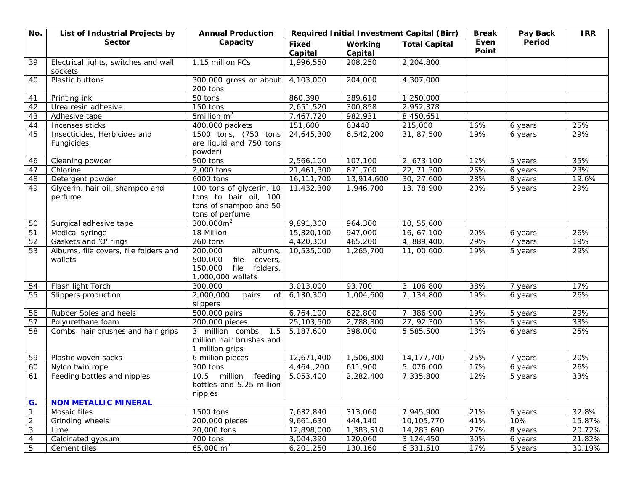| No.              | List of Industrial Projects by                   | <b>Annual Production</b>                                                                             |                         | Required Initial Investment Capital (Birr) | <b>Break</b>         | Pay Back      | <b>IRR</b> |        |
|------------------|--------------------------------------------------|------------------------------------------------------------------------------------------------------|-------------------------|--------------------------------------------|----------------------|---------------|------------|--------|
|                  | <b>Sector</b>                                    | Capacity                                                                                             | <b>Fixed</b><br>Capital | <b>Working</b><br>Capital                  | <b>Total Capital</b> | Even<br>Point | Period     |        |
| 39               | Electrical lights, switches and wall<br>sockets  | 1.15 million PCs                                                                                     | 1,996,550               | 208,250                                    | 2,204,800            |               |            |        |
| 40               | Plastic buttons                                  | 300,000 gross or about<br>200 tons                                                                   | 4,103,000               | 204,000                                    | 4,307,000            |               |            |        |
| 41               | Printing ink                                     | 50 tons                                                                                              | 860,390                 | 389,610                                    | 1,250,000            |               |            |        |
| 42               | Urea resin adhesive                              | 150 tons                                                                                             | 2,651,520               | 300,858                                    | 2,952,378            |               |            |        |
| 43               | Adhesive tape                                    | 5million $m^2$                                                                                       | 7,467,720               | 982,931                                    | 8,450,651            |               |            |        |
| 44               | Incenses sticks                                  | 400,000 packets                                                                                      | 151,600                 | 63440                                      | 215,000              | 16%           | 6 years    | 25%    |
| 45               | Insecticides, Herbicides and<br>Fungicides       | 1500 tons, (750 tons<br>are liquid and 750 tons<br>powder)                                           | 24,645,300              | 6,542,200                                  | 31, 87,500           | 19%           | 6 years    | 29%    |
| 46               | Cleaning powder                                  | 500 tons                                                                                             | 2,566,100               | 107,100                                    | 2, 673, 100          | 12%           | 5 years    | 35%    |
| 47               | Chlorine                                         | 2,000 tons                                                                                           | 21,461,300              | 671,700                                    | 22, 71,300           | 26%           | 6 years    | 23%    |
| 48               | Detergent powder                                 | 6000 tons                                                                                            | 16, 111, 700            | 13,914,600                                 | 30, 27,600           | 28%           | 8 years    | 19.6%  |
| 49               | Glycerin, hair oil, shampoo and<br>perfume       | 100 tons of glycerin, 10<br>tons to hair oil, 100<br>tons of shampoo and 50<br>tons of perfume       | 11,432,300              | 1,946,700                                  | 13, 78, 900          | 20%           | 5 years    | 29%    |
| 50               | Surgical adhesive tape                           | $300,000m^2$                                                                                         | 9,891,300               | 964,300                                    | 10, 55,600           |               |            |        |
| 51               | Medical syringe                                  | 18 Million                                                                                           | 15,320,100              | 947,000                                    | 16, 67, 100          | 20%           | 6 years    | 26%    |
| 52               | Gaskets and 'O' rings                            | 260 tons                                                                                             | 4,420,300               | 465,200                                    | 4, 889, 400.         | 29%           | 7 years    | 19%    |
| 53               | Albums, file covers, file folders and<br>wallets | 200,000<br>albums,<br>500,000<br>file<br>covers,<br>150,000<br>file<br>folders,<br>1,000,000 wallets | 10,535,000              | 1,265,700                                  | 11, 00,600.          | 19%           | 5 years    | 29%    |
| 54               | Flash light Torch                                | 300,000                                                                                              | 3,013,000               | 93,700                                     | 3, 106,800           | 38%           | 7 years    | 17%    |
| 55               | Slippers production                              | 2,000,000<br>pairs<br>0f<br>slippers                                                                 | 6,130,300               | 1,004,600                                  | 7, 134,800           | 19%           | 6 years    | 26%    |
| 56               | Rubber Soles and heels                           | 500,000 pairs                                                                                        | 6,764,100               | 622,800                                    | 7, 386, 900          | 19%           | 5 years    | 29%    |
| 57               | Polyurethane foam                                | 200,000 pieces                                                                                       | 25, 103, 500            | 2,788,800                                  | 27, 92,300           | 15%           | 5 years    | 33%    |
| 58               | Combs, hair brushes and hair grips               | 3 million combs, 1.5<br>million hair brushes and<br>1 million grips                                  | 5,187,600               | 398,000                                    | 5,585,500            | 13%           | 6 years    | 25%    |
| 59               | Plastic woven sacks                              | 6 million pieces                                                                                     | 12,671,400              | 1,506,300                                  | 14, 177, 700         | 25%           | 7 years    | 20%    |
| 60               | Nylon twin rope                                  | 300 tons                                                                                             | 4,464,,200              | 611,900                                    | 5, 076,000           | 17%           | 6 years    | 26%    |
| 61               | Feeding bottles and nipples                      | 10.5 million feeding<br>bottles and 5.25 million<br>nipples                                          | 5,053,400               | 2,282,400                                  | 7,335,800            | 12%           | 5 years    | 33%    |
| G.               | <b>NON METALLIC MINERAL</b>                      |                                                                                                      |                         |                                            |                      |               |            |        |
| $\mathcal{I}$    | Mosaic tiles                                     | 1500 tons                                                                                            | 7,632,840               | 313,060                                    | 7,945,900            | 21%           | 5 years    | 32.8%  |
| $\mathfrak{2}$   | Grinding wheels                                  | 200,000 pieces                                                                                       | 9,661,630               | 444,140                                    | 10, 105, 770         | 41%           | 10%        | 15.87% |
| 3                | Lime                                             | 20,000 tons                                                                                          | 12,898,000              | 1,383,510                                  | 14,283.690           | 27%           | 8 years    | 20.72% |
| $\boldsymbol{4}$ | Calcinated gypsum                                | 700 tons                                                                                             | 3,004,390               | 120,060                                    | 3,124,450            | 30%           | 6 years    | 21.82% |
| $\sqrt{5}$       | Cement tiles                                     | 65,000 $m^2$                                                                                         | 6,201,250               | 130,160                                    | 6,331,510            | 17%           | 5 years    | 30.19% |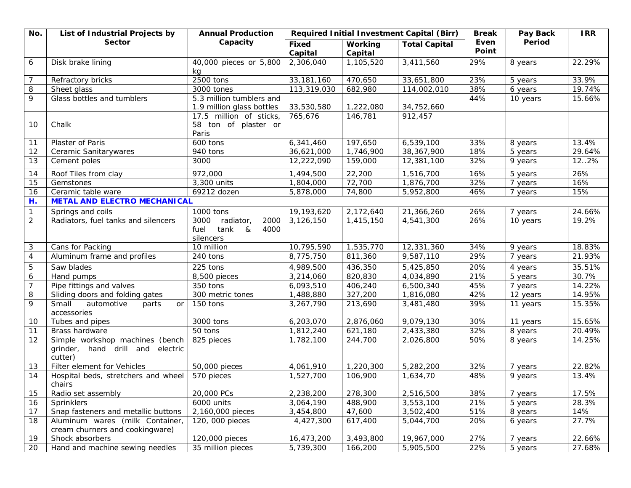| No.            | List of Industrial Projects by                                                 | <b>Annual Production</b>                                                   |                         |                           | Required Initial Investment Capital (Birr) | <b>Break</b>  | Pay Back<br>Period | <b>IRR</b> |
|----------------|--------------------------------------------------------------------------------|----------------------------------------------------------------------------|-------------------------|---------------------------|--------------------------------------------|---------------|--------------------|------------|
|                | <b>Sector</b>                                                                  | Capacity                                                                   | <b>Fixed</b><br>Capital | <b>Working</b><br>Capital | <b>Total Capital</b>                       | Even<br>Point |                    |            |
| 6              | Disk brake lining                                                              | 40,000 pieces or 5,800<br>kg                                               | 2,306,040               | 1,105,520                 | 3,411,560                                  | 29%           | 8 years            | 22.29%     |
| 7              | Refractory bricks                                                              | 2500 tons                                                                  | 33, 181, 160            | 470,650                   | 33,651,800                                 | 23%           | 5 years            | 33.9%      |
| 8              | Sheet glass                                                                    | 3000 tones                                                                 | 113,319,030             | 682,980                   | 114,002,010                                | 38%           | 6 years            | 19.74%     |
| 9              | Glass bottles and tumblers                                                     | 5.3 million tumblers and<br>1.9 million glass bottles                      | 33,530,580              | 1,222,080                 | 34,752,660                                 | 44%           | 10 years           | 15.66%     |
| 10             | Chalk                                                                          | 17.5 million of sticks,<br>58 ton of plaster or<br>Paris                   | 765,676                 | 146,781                   | 912,457                                    |               |                    |            |
| 11             | Plaster of Paris                                                               | 600 tons                                                                   | 6,341,460               | 197,650                   | 6,539,100                                  | 33%           | 8 years            | 13.4%      |
| 12             | Ceramic Sanitarywares                                                          | 940 tons                                                                   | 36,621,000              | 1,746,900                 | 38, 367, 900                               | 18%           | 5 years            | 29.64%     |
| 13             | Cement poles                                                                   | 3000                                                                       | 12,222,090              | 159,000                   | 12,381,100                                 | 32%           | 9 years            | 12.2%      |
| 14             | Roof Tiles from clay                                                           | 972,000                                                                    | 1,494,500               | 22,200                    | 1,516,700                                  | 16%           | 5 years            | 26%        |
| 15             | Gemstones                                                                      | 3,300 units                                                                | 1,804,000               | 72,700                    | $\overline{1,876,700}$                     | 32%           | 7 years            | 16%        |
| 16             | Ceramic table ware                                                             | 69212 dozen                                                                | 5,878,000               | 74,800                    | 5,952,800                                  | 46%           | 7 years            | 15%        |
| Н.             | <b>METAL AND ELECTRO MECHANICAL</b>                                            |                                                                            |                         |                           |                                            |               |                    |            |
| $\mathcal{I}$  | Springs and coils                                                              | 1000 tons                                                                  | 19, 193, 620            | 2,172,640                 | 21,366,260                                 | 26%           | 7 years            | 24.66%     |
| $\overline{2}$ | Radiators, fuel tanks and silencers                                            | radiator,<br>2000<br>3000<br>tank<br>4000<br>fuel<br>$\alpha$<br>silencers | 3,126,150               | 1,415,150                 | 4,541,300                                  | 26%           | 10 years           | 19.2%      |
| 3              | Cans for Packing                                                               | 10 million                                                                 | 10,795,590              | 1,535,770                 | 12,331,360                                 | 34%           | 9 years            | 18.83%     |
| $\overline{4}$ | Aluminum frame and profiles                                                    | 240 tons                                                                   | 8,775,750               | 811,360                   | 9,587,110                                  | 29%           | 7 years            | 21.93%     |
| $\sqrt{5}$     | Saw blades                                                                     | 225 tons                                                                   | 4,989,500               | 436,350                   | 5,425,850                                  | 20%           | 4 years            | 35.51%     |
| 6              | Hand pumps                                                                     | 8,500 pieces                                                               | 3,214,060               | 820,830                   | 4,034,890                                  | 21%           | 5 years            | 30.7%      |
| 7              | Pipe fittings and valves                                                       | 350 tons                                                                   | 6,093,510               | 406,240                   | 6,500,340                                  | 45%           | 7 years            | 14.22%     |
| 8              | Sliding doors and folding gates                                                | 300 metric tones                                                           | 1,488,880               | 327,200                   | 1,816,080                                  | 42%           | 12 years           | 14.95%     |
| 9              | Small<br>automotive<br>parts<br>or<br>accessories                              | 150 tons                                                                   | 3,267,790               | 213,690                   | 3,481,480                                  | 39%           | 11 years           | 15.35%     |
| 10             | Tubes and pipes                                                                | 3000 tons                                                                  | 6,203,070               | 2,876,060                 | 9,079,130                                  | 30%           | 11 years           | 15.65%     |
| 11             | <b>Brass hardware</b>                                                          | 50 tons                                                                    | 1,812,240               | 621,180                   | 2,433,380                                  | 32%           | 8 years            | 20.49%     |
| 12             | Simple workshop machines (bench<br>grinder, hand drill and electric<br>cutter) | 825 pieces                                                                 | 1,782,100               | 244,700                   | 2,026,800                                  | 50%           | 8 years            | 14.25%     |
| 13             | Filter element for Vehicles                                                    | 50,000 pieces                                                              | 4,061,910               | 1,220,300                 | 5,282,200                                  | 32%           | 7 years            | 22.82%     |
| 14             | Hospital beds, stretchers and wheel<br>chairs                                  | 570 pieces                                                                 | 1,527,700               | 106,900                   | 1,634,70                                   | 48%           | 9 years            | 13.4%      |
| 15             | Radio set assembly                                                             | 20,000 PCs                                                                 | 2,238,200               | 278,300                   | 2,516,500                                  | 38%           | 7 years            | 17.5%      |
| 16             | Sprinklers                                                                     | 6000 units                                                                 | 3,064,190               | 488,900                   | 3,553,100                                  | 21%           | 5 years            | 28.3%      |
| 17             | Snap fasteners and metallic buttons                                            | 2,160,000 pieces                                                           | 3,454,800               | 47,600                    | 3,502,400                                  | 51%           | 8 years            | 14%        |
| 18             | Aluminum wares (milk Container,<br>cream churners and cookingware)             | 120, 000 pieces                                                            | 4,427,300               | 617,400                   | 5,044,700                                  | 20%           | 6 years            | 27.7%      |
| 19             | Shock absorbers                                                                | 120,000 pieces                                                             | 16,473,200              | 3,493,800                 | 19,967,000                                 | 27%           | 7 years            | 22.66%     |
| 20             | Hand and machine sewing needles                                                | 35 million pieces                                                          | 5,739,300               | 166,200                   | 5,905,500                                  | 22%           | 5 years            | 27.68%     |